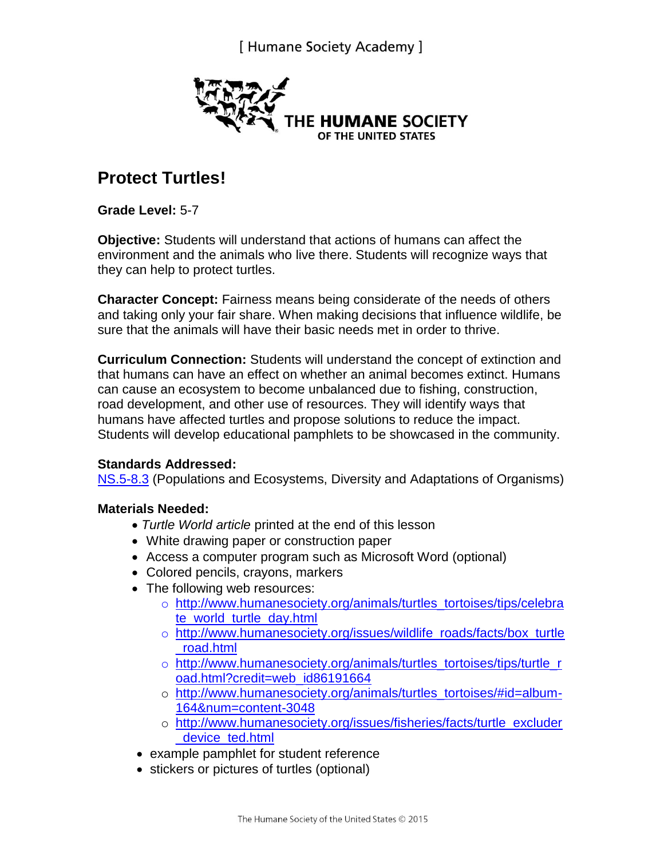

# **Protect Turtles!**

**Grade Level:** 5-7

**Objective:** Students will understand that actions of humans can affect the environment and the animals who live there. Students will recognize ways that they can help to protect turtles.

**Character Concept:** Fairness means being considerate of the needs of others and taking only your fair share. When making decisions that influence wildlife, be sure that the animals will have their basic needs met in order to thrive.

**Curriculum Connection:** Students will understand the concept of extinction and that humans can have an effect on whether an animal becomes extinct. Humans can cause an ecosystem to become unbalanced due to fishing, construction, road development, and other use of resources. They will identify ways that humans have affected turtles and propose solutions to reduce the impact. Students will develop educational pamphlets to be showcased in the community.

#### **Standards Addressed:**

[NS.5-8.3](http://www.educationworld.com/standards/national/science/5_8.shtml) (Populations and Ecosystems, Diversity and Adaptations of Organisms)

#### **Materials Needed:**

- *Turtle World article* printed at the end of this lesson
- White drawing paper or construction paper
- Access a computer program such as Microsoft Word (optional)
- Colored pencils, crayons, markers
- The following web resources:
	- o [http://www.humanesociety.org/animals/turtles\\_tortoises/tips/celebra](http://www.humanesociety.org/animals/turtles_tortoises/tips/celebrate_world_turtle_day.html) [te\\_world\\_turtle\\_day.html](http://www.humanesociety.org/animals/turtles_tortoises/tips/celebrate_world_turtle_day.html)
	- o [http://www.humanesociety.org/issues/wildlife\\_roads/facts/box\\_turtle](http://www.humanesociety.org/issues/wildlife_roads/facts/box_turtle_road.html) [\\_road.html](http://www.humanesociety.org/issues/wildlife_roads/facts/box_turtle_road.html)
	- o [http://www.humanesociety.org/animals/turtles\\_tortoises/tips/turtle\\_r](http://www.humanesociety.org/animals/turtles_tortoises/tips/turtle_road.html?credit=web_id86191664) [oad.html?credit=web\\_id86191664](http://www.humanesociety.org/animals/turtles_tortoises/tips/turtle_road.html?credit=web_id86191664)
	- o [http://www.humanesociety.org/animals/turtles\\_tortoises/#id=album-](http://www.humanesociety.org/animals/turtles_tortoises/#id=album-164&num=content-3048)[164&num=content-3048](http://www.humanesociety.org/animals/turtles_tortoises/#id=album-164&num=content-3048)
	- o [http://www.humanesociety.org/issues/fisheries/facts/turtle\\_excluder](http://www.humanesociety.org/issues/fisheries/facts/turtle_excluder_device_ted.html) [\\_device\\_ted.html](http://www.humanesociety.org/issues/fisheries/facts/turtle_excluder_device_ted.html)
- example pamphlet for student reference
- stickers or pictures of turtles (optional)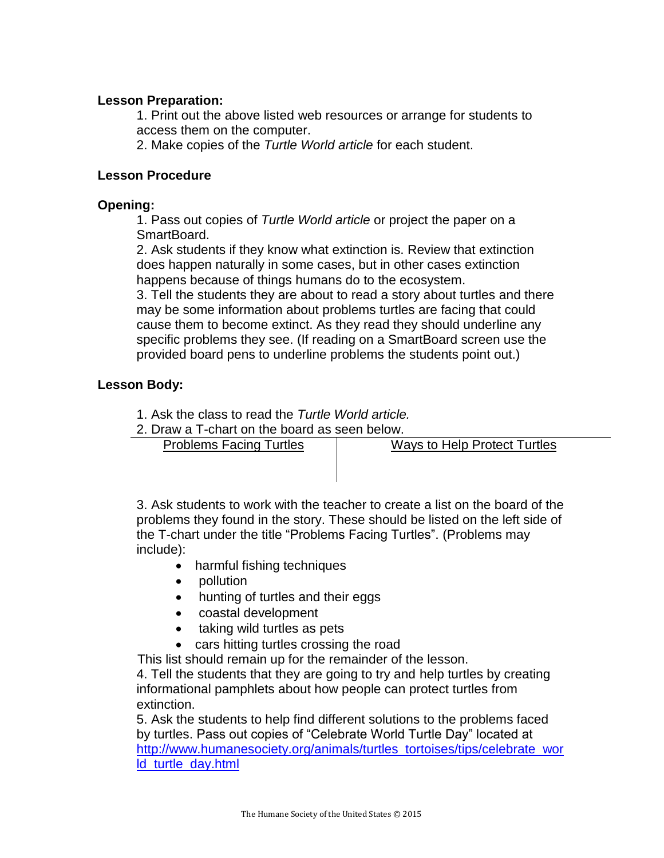#### **Lesson Preparation:**

1. Print out the above listed web resources or arrange for students to access them on the computer.

2. Make copies of the *Turtle World article* for each student.

#### **Lesson Procedure**

#### **Opening:**

1. Pass out copies of *Turtle World article* or project the paper on a SmartBoard.

2. Ask students if they know what extinction is. Review that extinction does happen naturally in some cases, but in other cases extinction happens because of things humans do to the ecosystem.

3. Tell the students they are about to read a story about turtles and there may be some information about problems turtles are facing that could cause them to become extinct. As they read they should underline any specific problems they see. (If reading on a SmartBoard screen use the provided board pens to underline problems the students point out.)

#### **Lesson Body:**

1. Ask the class to read the *Turtle World article.*

2. Draw a T-chart on the board as seen below.

Problems Facing Turtles | Ways to Help Protect Turtles

3. Ask students to work with the teacher to create a list on the board of the problems they found in the story. These should be listed on the left side of the T-chart under the title "Problems Facing Turtles". (Problems may include):

- harmful fishing techniques
- pollution
- hunting of turtles and their eggs
- coastal development
- taking wild turtles as pets
- cars hitting turtles crossing the road

This list should remain up for the remainder of the lesson.

4. Tell the students that they are going to try and help turtles by creating informational pamphlets about how people can protect turtles from extinction.

5. Ask the students to help find different solutions to the problems faced by turtles. Pass out copies of "Celebrate World Turtle Day" located at [http://www.humanesociety.org/animals/turtles\\_tortoises/tips/celebrate\\_wor](http://www.humanesociety.org/animals/turtles_tortoises/tips/celebrate_world_turtle_day.html) [ld\\_turtle\\_day.html](http://www.humanesociety.org/animals/turtles_tortoises/tips/celebrate_world_turtle_day.html)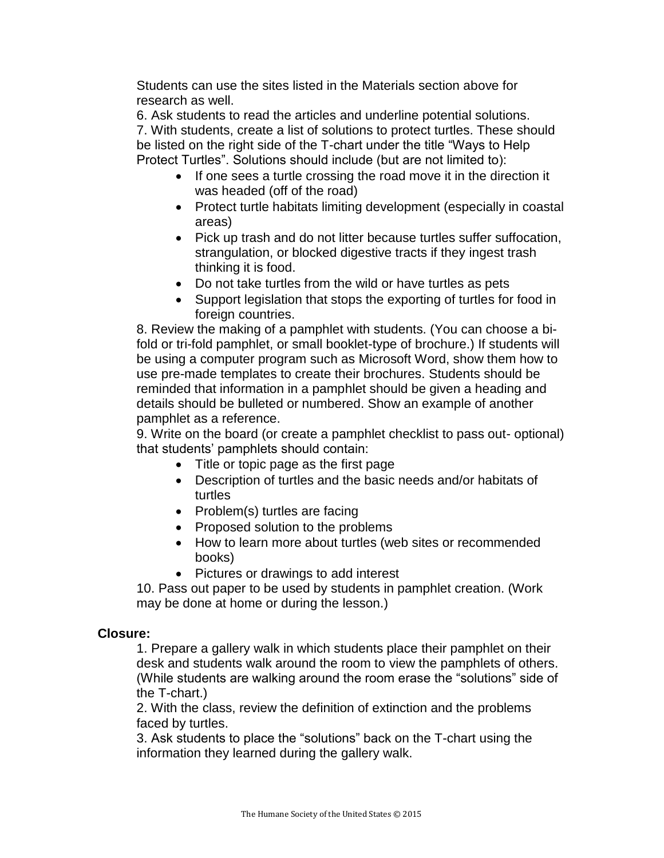Students can use the sites listed in the Materials section above for research as well.

6. Ask students to read the articles and underline potential solutions. 7. With students, create a list of solutions to protect turtles. These should be listed on the right side of the T-chart under the title "Ways to Help Protect Turtles". Solutions should include (but are not limited to):

- If one sees a turtle crossing the road move it in the direction it was headed (off of the road)
- Protect turtle habitats limiting development (especially in coastal areas)
- Pick up trash and do not litter because turtles suffer suffocation, strangulation, or blocked digestive tracts if they ingest trash thinking it is food.
- Do not take turtles from the wild or have turtles as pets
- Support legislation that stops the exporting of turtles for food in foreign countries.

8. Review the making of a pamphlet with students. (You can choose a bifold or tri-fold pamphlet, or small booklet-type of brochure.) If students will be using a computer program such as Microsoft Word, show them how to use pre-made templates to create their brochures. Students should be reminded that information in a pamphlet should be given a heading and details should be bulleted or numbered. Show an example of another pamphlet as a reference.

9. Write on the board (or create a pamphlet checklist to pass out- optional) that students' pamphlets should contain:

- Title or topic page as the first page
- Description of turtles and the basic needs and/or habitats of turtles
- Problem(s) turtles are facing
- Proposed solution to the problems
- How to learn more about turtles (web sites or recommended books)
- Pictures or drawings to add interest

10. Pass out paper to be used by students in pamphlet creation. (Work may be done at home or during the lesson.)

#### **Closure:**

1. Prepare a gallery walk in which students place their pamphlet on their desk and students walk around the room to view the pamphlets of others. (While students are walking around the room erase the "solutions" side of the T-chart.)

2. With the class, review the definition of extinction and the problems faced by turtles.

3. Ask students to place the "solutions" back on the T-chart using the information they learned during the gallery walk.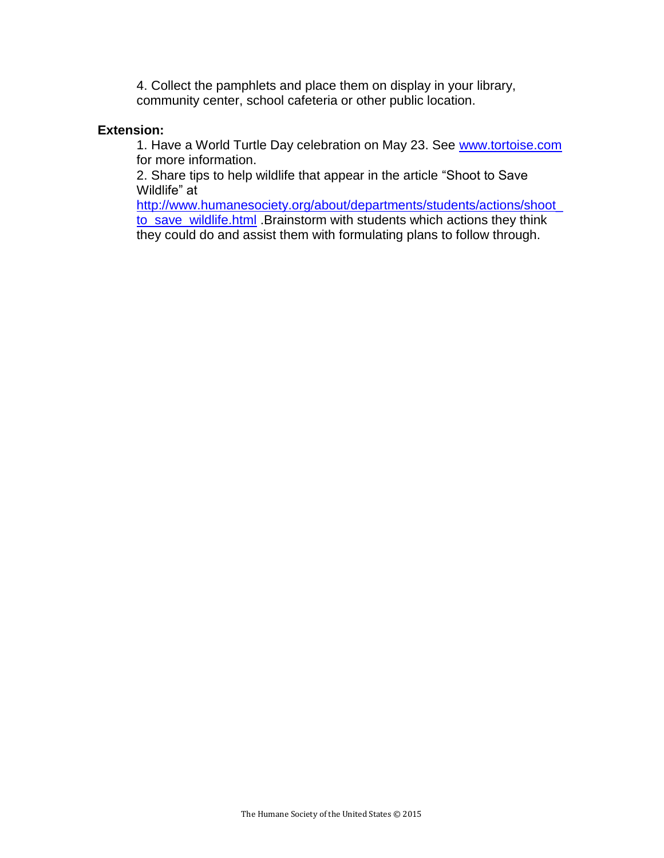4. Collect the pamphlets and place them on display in your library, community center, school cafeteria or other public location.

#### **Extension:**

1. Have a World Turtle Day celebration on May 23. See [www.tortoise.com](http://www.tortoise.com/) for more information.

2. Share tips to help wildlife that appear in the article "Shoot to Save Wildlife" at

[http://www.humanesociety.org/about/departments/students/actions/shoot\\_](http://www.humanesociety.org/about/departments/students/actions/shoot_to_save_wildlife.html) [to\\_save\\_wildlife.html](http://www.humanesociety.org/about/departments/students/actions/shoot_to_save_wildlife.html) .Brainstorm with students which actions they think they could do and assist them with formulating plans to follow through.